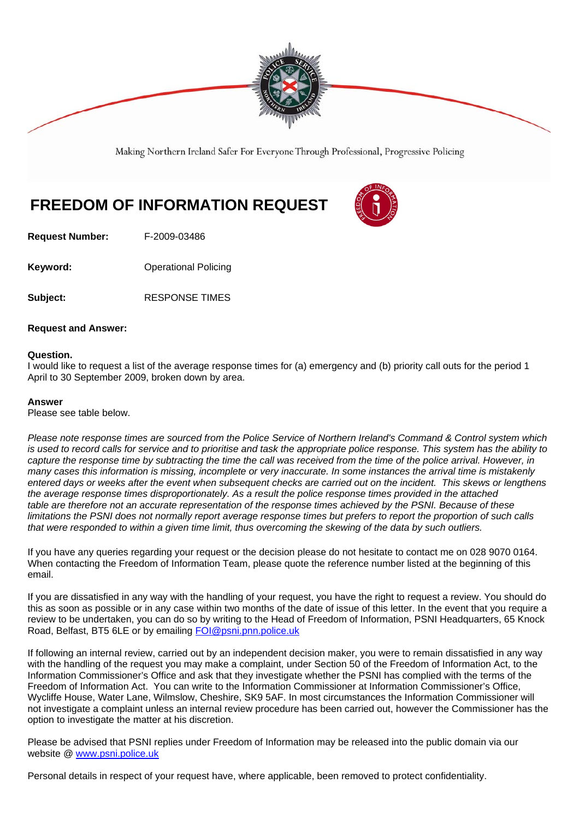

Making Northern Ireland Safer For Everyone Through Professional, Progressive Policing

## **FREEDOM OF INFORMATION REQUEST**



**Request Number:** F-2009-03486

**Keyword: C**Derational Policing

**Subject:** RESPONSE TIMES

## **Request and Answer:**

## **Question.**

I would like to request a list of the average response times for (a) emergency and (b) priority call outs for the period 1 April to 30 September 2009, broken down by area.

## **Answer**

Please see table below.

*Please note response times are sourced from the Police Service of Northern Ireland's Command & Control system which is used to record calls for service and to prioritise and task the appropriate police response. This system has the ability to capture the response time by subtracting the time the call was received from the time of the police arrival. However, in many cases this information is missing, incomplete or very inaccurate. In some instances the arrival time is mistakenly entered days or weeks after the event when subsequent checks are carried out on the incident. This skews or lengthens the average response times disproportionately. As a result the police response times provided in the attached table are therefore not an accurate representation of the response times achieved by the PSNI. Because of these limitations the PSNI does not normally report average response times but prefers to report the proportion of such calls that were responded to within a given time limit, thus overcoming the skewing of the data by such outliers.* 

If you have any queries regarding your request or the decision please do not hesitate to contact me on 028 9070 0164. When contacting the Freedom of Information Team, please quote the reference number listed at the beginning of this email.

If you are dissatisfied in any way with the handling of your request, you have the right to request a review. You should do this as soon as possible or in any case within two months of the date of issue of this letter. In the event that you require a review to be undertaken, you can do so by writing to the Head of Freedom of Information, PSNI Headquarters, 65 Knock Road, Belfast, BT5 6LE or by emailing FOI@psni.pnn.police.uk

If following an internal review, carried out by an independent decision maker, you were to remain dissatisfied in any way with the handling of the request you may make a complaint, under Section 50 of the Freedom of Information Act, to the Information Commissioner's Office and ask that they investigate whether the PSNI has complied with the terms of the Freedom of Information Act. You can write to the Information Commissioner at Information Commissioner's Office, Wycliffe House, Water Lane, Wilmslow, Cheshire, SK9 5AF. In most circumstances the Information Commissioner will not investigate a complaint unless an internal review procedure has been carried out, however the Commissioner has the option to investigate the matter at his discretion.

Please be advised that PSNI replies under Freedom of Information may be released into the public domain via our website @ www.psni.police.uk

Personal details in respect of your request have, where applicable, been removed to protect confidentiality.